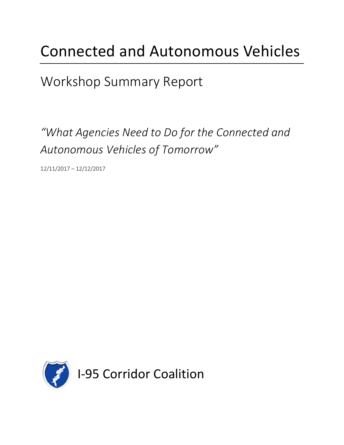# Connected and Autonomous Vehicles

## Workshop Summary Report

*"What Agencies Need to Do for the Connected and Autonomous Vehicles of Tomorrow"*

12/11/2017 – 12/12/2017

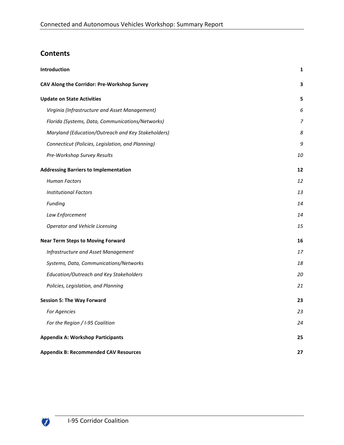## **Contents**

| Introduction                                       |                |
|----------------------------------------------------|----------------|
| CAV Along the Corridor: Pre-Workshop Survey        | 3              |
| <b>Update on State Activities</b>                  | 5              |
| Virginia (Infrastructure and Asset Management)     | 6              |
| Florida (Systems, Data, Communications/Networks)   | $\overline{7}$ |
| Maryland (Education/Outreach and Key Stakeholders) | 8              |
| Connecticut (Policies, Legislation, and Planning)  | 9              |
| Pre-Workshop Survey Results                        | 10             |
| <b>Addressing Barriers to Implementation</b>       | 12             |
| <b>Human Factors</b>                               | 12             |
| <b>Institutional Factors</b>                       | 13             |
| Funding                                            | 14             |
| Law Enforcement                                    | 14             |
| <b>Operator and Vehicle Licensing</b>              | 15             |
| <b>Near Term Steps to Moving Forward</b>           | 16             |
| Infrastructure and Asset Management                | 17             |
| Systems, Data, Communications/Networks             | 18             |
| Education/Outreach and Key Stakeholders            | 20             |
| Policies, Legislation, and Planning                | 21             |
| <b>Session 5: The Way Forward</b>                  | 23             |
| For Agencies                                       | 23             |
| For the Region / I-95 Coalition                    | 24             |
| <b>Appendix A: Workshop Participants</b>           | 25             |
| <b>Appendix B: Recommended CAV Resources</b>       | 27             |

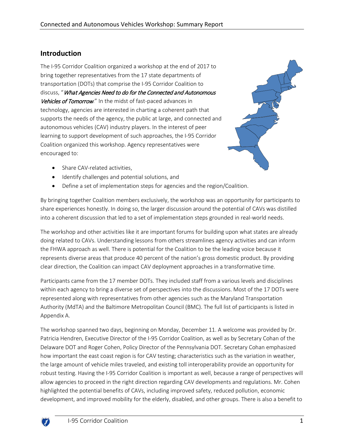## <span id="page-2-0"></span>**Introduction**

The I-95 Corridor Coalition organized a workshop at the end of 2017 to bring together representatives from the 17 state departments of transportation (DOTs) that comprise the I-95 Corridor Coalition to discuss, "What Agencies Need to do for the Connected and Autonomous Vehicles of Tomorrow." In the midst of fast-paced advances in technology, agencies are interested in charting a coherent path that supports the needs of the agency, the public at large, and connected and autonomous vehicles (CAV) industry players. In the interest of peer learning to support development of such approaches, the I-95 Corridor Coalition organized this workshop. Agency representatives were encouraged to:



- Share CAV-related activities.
- Identify challenges and potential solutions, and
- Define a set of implementation steps for agencies and the region/Coalition.

By bringing together Coalition members exclusively, the workshop was an opportunity for participants to share experiences honestly. In doing so, the larger discussion around the potential of CAVs was distilled into a coherent discussion that led to a set of implementation steps grounded in real-world needs.

The workshop and other activities like it are important forums for building upon what states are already doing related to CAVs. Understanding lessons from others streamlines agency activities and can inform the FHWA approach as well. There is potential for the Coalition to be the leading voice because it represents diverse areas that produce 40 percent of the nation's gross domestic product. By providing clear direction, the Coalition can impact CAV deployment approaches in a transformative time.

Participants came from the 17 member DOTs. They included staff from a various levels and disciplines within each agency to bring a diverse set of perspectives into the discussions. Most of the 17 DOTs were represented along with representatives from other agencies such as the Maryland Transportation Authority (MdTA) and the Baltimore Metropolitan Council (BMC). The full list of participants is listed in Appendix A.

The workshop spanned two days, beginning on Monday, December 11. A welcome was provided by Dr. Patricia Hendren, Executive Director of the I-95 Corridor Coalition, as well as by Secretary Cohan of the Delaware DOT and Roger Cohen, Policy Director of the Pennsylvania DOT. Secretary Cohan emphasized how important the east coast region is for CAV testing; characteristics such as the variation in weather, the large amount of vehicle miles traveled, and existing toll interoperability provide an opportunity for robust testing. Having the I-95 Corridor Coalition is important as well, because a range of perspectives will allow agencies to proceed in the right direction regarding CAV developments and regulations. Mr. Cohen highlighted the potential benefits of CAVs, including improved safety, reduced pollution, economic development, and improved mobility for the elderly, disabled, and other groups. There is also a benefit to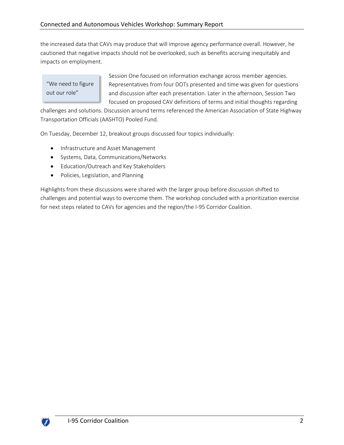the increased data that CAVs may produce that will improve agency performance overall. However, he cautioned that negative impacts should not be overlooked, such as benefits accruing inequitably and impacts on employment.

"We need to figure out our role"

Session One focused on information exchange across member agencies. Representatives from four DOTs presented and time was given for questions and discussion after each presentation. Later in the afternoon, Session Two focused on proposed CAV definitions of terms and initial thoughts regarding

challenges and solutions. Discussion around terms referenced the American Association of State Highway Transportation Officials (AASHTO) Pooled Fund.

On Tuesday, December 12, breakout groups discussed four topics individually:

- Infrastructure and Asset Management
- Systems, Data, Communications/Networks
- Education/Outreach and Key Stakeholders
- Policies, Legislation, and Planning

Highlights from these discussions were shared with the larger group before discussion shifted to challenges and potential ways to overcome them. The workshop concluded with a prioritization exercise for next steps related to CAVs for agencies and the region/the I-95 Corridor Coalition.

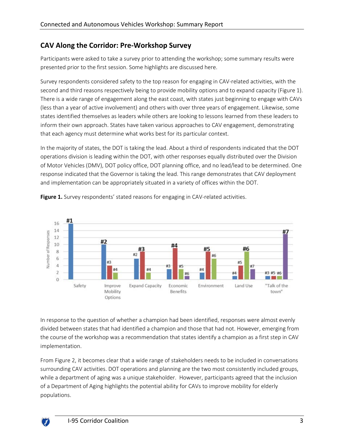## <span id="page-4-0"></span>**CAV Along the Corridor: Pre-Workshop Survey**

Participants were asked to take a survey prior to attending the workshop; some summary results were presented prior to the first session. Some highlights are discussed here.

Survey respondents considered safety to the top reason for engaging in CAV-related activities, with the second and third reasons respectively being to provide mobility options and to expand capacity [\(Figure](#page-4-1) 1). There is a wide range of engagement along the east coast, with states just beginning to engage with CAVs (less than a year of active involvement) and others with over three years of engagement. Likewise, some states identified themselves as leaders while others are looking to lessons learned from these leaders to inform their own approach. States have taken various approaches to CAV engagement, demonstrating that each agency must determine what works best for its particular context.

In the majority of states, the DOT is taking the lead. About a third of respondents indicated that the DOT operations division is leading within the DOT, with other responses equally distributed over the Division of Motor Vehicles (DMV), DOT policy office, DOT planning office, and no lead/lead to be determined. One response indicated that the Governor is taking the lead. This range demonstrates that CAV deployment and implementation can be appropriately situated in a variety of offices within the DOT.



<span id="page-4-1"></span>Figure 1. Survey respondents' stated reasons for engaging in CAV-related activities.

In response to the question of whether a champion had been identified, responses were almost evenly divided between states that had identified a champion and those that had not. However, emerging from the course of the workshop was a recommendation that states identify a champion as a first step in CAV implementation.

From [Figure 2,](#page-5-0) it becomes clear that a wide range of stakeholders needs to be included in conversations surrounding CAV activities. DOT operations and planning are the two most consistently included groups, while a department of aging was a unique stakeholder. However, participants agreed that the inclusion of a Department of Aging highlights the potential ability for CAVs to improve mobility for elderly populations.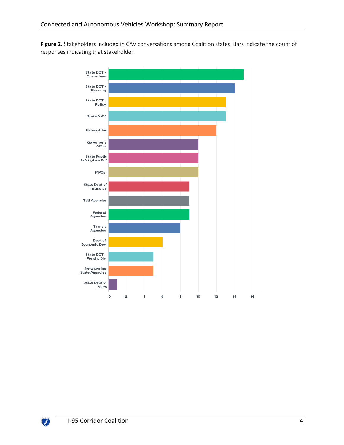<span id="page-5-0"></span>**Figure 2.** Stakeholders included in CAV conversations among Coalition states. Bars indicate the count of responses indicating that stakeholder.



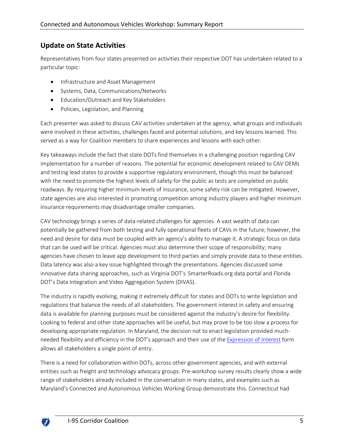## <span id="page-6-0"></span>**Update on State Activities**

Representatives from four states presented on activities their respective DOT has undertaken related to a particular topic:

- Infrastructure and Asset Management
- Systems, Data, Communications/Networks
- Education/Outreach and Key Stakeholders
- Policies, Legislation, and Planning

Each presenter was asked to discuss CAV activities undertaken at the agency, what groups and individuals were involved in these activities, challenges faced and potential solutions, and key lessons learned. This served as a way for Coalition members to share experiences and lessons with each other.

Key takeaways include the fact that state DOTs find themselves in a challenging position regarding CAV implementation for a number of reasons. The potential for economic development related to CAV OEMs and testing lead states to provide a supportive regulatory environment, though this must be balanced with the need to promote the highest levels of safety for the public as tests are completed on public roadways. By requiring higher minimum levels of insurance, some safety risk can be mitigated. However, state agencies are also interested in promoting competition among industry players and higher minimum insurance requirements may disadvantage smaller companies.

CAV technology brings a series of data-related challenges for agencies. A vast wealth of data can potentially be gathered from both testing and fully operational fleets of CAVs in the future; however, the need and desire for data must be coupled with an agency's ability to manage it. A strategic focus on data that can be used will be critical. Agencies must also determine their scope of responsibility; many agencies have chosen to leave app development to third parties and simply provide data to these entities. Data latency was also a key issue highlighted through the presentations. Agencies discussed some innovative data sharing approaches, such as Virginia DOT's SmarterRoads.org data portal and Florida DOT's Data Integration and Video Aggregation System (DIVAS).

The industry is rapidly evolving, making it extremely difficult for states and DOTs to write legislation and regulations that balance the needs of all stakeholders. The government interest in safety and ensuring data is available for planning purposes must be considered against the industry's desire for flexibility. Looking to federal and other state approaches will be useful, but may prove to be too slow a process for developing appropriate regulation. In Maryland, the decision not to enact legislation provided muchneeded flexibility and efficiency in the DOT's approach and their use of the Expression of Interest form allows all stakeholders a single point of entry.

There is a need for collaboration within DOTs, across other government agencies, and with external entities such as freight and technology advocacy groups. Pre-workshop survey results clearly show a wide range of stakeholders already included in the conversation in many states, and examples such as Maryland's Connected and Autonomous Vehicles Working Group demonstrate this. Connecticut had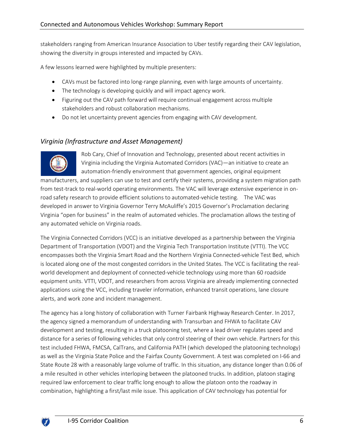stakeholders ranging from American Insurance Association to Uber testify regarding their CAV legislation, showing the diversity in groups interested and impacted by CAVs.

A few lessons learned were highlighted by multiple presenters:

- CAVs must be factored into long-range planning, even with large amounts of uncertainty.
- The technology is developing quickly and will impact agency work.
- Figuring out the CAV path forward will require continual engagement across multiple stakeholders and robust collaboration mechanisms.
- Do not let uncertainty prevent agencies from engaging with CAV development.

## <span id="page-7-0"></span>*Virginia (Infrastructure and Asset Management)*



Rob Cary, Chief of Innovation and Technology, presented about recent activities in Virginia including the Virginia Automated Corridors (VAC)—an initiative to create an automation-friendly environment that government agencies, original equipment

manufacturers, and suppliers can use to test and certify their systems, providing a system migration path from test-track to real-world operating environments. The VAC will leverage extensive experience in onroad safety research to provide efficient solutions to automated-vehicle testing. The VAC was developed in answer to Virginia Governor Terry McAuliffe's 2015 Governor's Proclamation declaring Virginia "open for business" in the realm of automated vehicles. The proclamation allows the testing of any automated vehicle on Virginia roads.

The Virginia Connected Corridors (VCC) is an initiative developed as a partnership between the Virginia Department of Transportation (VDOT) and the Virginia Tech Transportation Institute (VTTI). The VCC encompasses both the Virginia Smart Road and the Northern Virginia Connected-vehicle Test Bed, which is located along one of the most congested corridors in the United States. The VCC is facilitating the realworld development and deployment of connected-vehicle technology using more than 60 roadside equipment units. VTTI, VDOT, and researchers from across Virginia are already implementing connected applications using the VCC, including traveler information, enhanced transit operations, lane closure alerts, and work zone and incident management.

The agency has a long history of collaboration with Turner Fairbank Highway Research Center. In 2017, the agency signed a memorandum of understanding with Transurban and FHWA to facilitate CAV development and testing, resulting in a truck platooning test, where a lead driver regulates speed and distance for a series of following vehicles that only control steering of their own vehicle. Partners for this test included FHWA, FMCSA, CalTrans, and California PATH (which developed the platooning technology) as well as the Virginia State Police and the Fairfax County Government. A test was completed on I-66 and State Route 28 with a reasonably large volume of traffic. In this situation, any distance longer than 0.06 of a mile resulted in other vehicles interloping between the platooned trucks. In addition, platoon staging required law enforcement to clear traffic long enough to allow the platoon onto the roadway in combination, highlighting a first/last mile issue. This application of CAV technology has potential for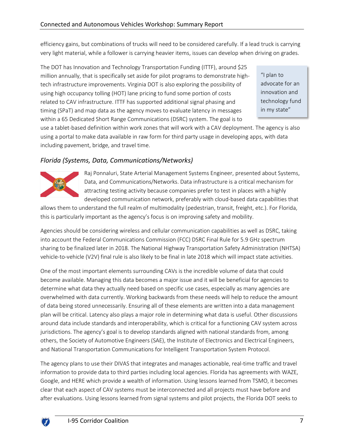efficiency gains, but combinations of trucks will need to be considered carefully. If a lead truck is carrying very light material, while a follower is carrying heavier items, issues can develop when driving on grades.

The DOT has Innovation and Technology Transportation Funding (ITTF), around \$25 million annually, that is specifically set aside for pilot programs to demonstrate hightech infrastructure improvements. Virginia DOT is also exploring the possibility of using high occupancy tolling (HOT) lane pricing to fund some portion of costs related to CAV infrastructure. ITTF has supported additional signal phasing and timing (SPaT) and map data as the agency moves to evaluate latency in messages within a 65 Dedicated Short Range Communications (DSRC) system. The goal is to

"I plan to advocate for an innovation and technology fund in my state"

use a tablet-based definition within work zones that will work with a CAV deployment. The agency is also using a portal to make data available in raw form for third party usage in developing apps, with data including pavement, bridge, and travel time.

## <span id="page-8-0"></span>*Florida (Systems, Data, Communications/Networks)*



Raj Ponnaluri, State Arterial Management Systems Engineer, presented about Systems, Data, and Communications/Networks. Data infrastructure is a critical mechanism for attracting testing activity because companies prefer to test in places with a highly developed communication network, preferably with cloud-based data capabilities that

allows them to understand the full realm of multimodality (pedestrian, transit, freight, etc.). For Florida, this is particularly important as the agency's focus is on improving safety and mobility.

Agencies should be considering wireless and cellular communication capabilities as well as DSRC, taking into account the Federal Communications Commission (FCC) DSRC Final Rule for 5.9 GHz spectrum sharing to be finalized later in 2018. The National Highway Transportation Safety Administration (NHTSA) vehicle-to-vehicle (V2V) final rule is also likely to be final in late 2018 which will impact state activities.

One of the most important elements surrounding CAVs is the incredible volume of data that could become available. Managing this data becomes a major issue and it will be beneficial for agencies to determine what data they actually need based on specific use cases, especially as many agencies are overwhelmed with data currently. Working backwards from these needs will help to reduce the amount of data being stored unnecessarily. Ensuring all of these elements are written into a data management plan will be critical. Latency also plays a major role in determining what data is useful. Other discussions around data include standards and interoperability, which is critical for a functioning CAV system across jurisdictions. The agency's goal is to develop standards aligned with national standards from, among others, the Society of Automotive Engineers (SAE), the Institute of Electronics and Electrical Engineers, and National Transportation Communications for Intelligent Transportation System Protocol.

The agency plans to use their DIVAS that integrates and manages actionable, real-time traffic and travel information to provide data to third parties including local agencies. Florida has agreements with WAZE, Google, and HERE which provide a wealth of information. Using lessons learned from TSMO, it becomes clear that each aspect of CAV systems must be interconnected and all projects must have before and after evaluations. Using lessons learned from signal systems and pilot projects, the Florida DOT seeks to

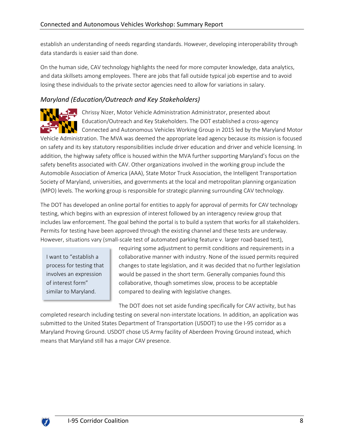establish an understanding of needs regarding standards. However, developing interoperability through data standards is easier said than done.

On the human side, CAV technology highlights the need for more computer knowledge, data analytics, and data skillsets among employees. There are jobs that fall outside typical job expertise and to avoid losing these individuals to the private sector agencies need to allow for variations in salary.

## <span id="page-9-0"></span>*Maryland (Education/Outreach and Key Stakeholders)*

**PA** Chrissy Nizer, Motor Vehicle Administration Administrator, presented about Education/Outreach and Key Stakeholders. The DOT established a cross-agency Connected and Autonomous Vehicles Working Group in 2015 led by the Maryland Motor Vehicle Administration. The MVA was deemed the appropriate lead agency because its mission is focused on safety and its key statutory responsibilities include driver education and driver and vehicle licensing. In addition, the highway safety office is housed within the MVA further supporting Maryland's focus on the safety benefits associated with CAV. Other organizations involved in the working group include the Automobile Association of America (AAA), State Motor Truck Association, the Intelligent Transportation Society of Maryland, universities, and governments at the local and metropolitan planning organization (MPO) levels. The working group is responsible for strategic planning surrounding CAV technology.

The DOT has developed an online portal for entities to apply for approval of permits for CAV technology testing, which begins with an expression of interest followed by an interagency review group that includes law enforcement. The goal behind the portal is to build a system that works for all stakeholders. Permits for testing have been approved through the existing channel and these tests are underway. However, situations vary (small-scale test of automated parking feature v. larger road-based test),

I want to "establish a process for testing that involves an expression of interest form" similar to Maryland.

requiring some adjustment to permit conditions and requirements in a collaborative manner with industry. None of the issued permits required changes to state legislation, and it was decided that no further legislation would be passed in the short term. Generally companies found this collaborative, though sometimes slow, process to be acceptable compared to dealing with legislative changes.

The DOT does not set aside funding specifically for CAV activity, but has completed research including testing on several non-interstate locations. In addition, an application was submitted to the United States Department of Transportation (USDOT) to use the I-95 corridor as a Maryland Proving Ground. USDOT chose US Army facility of Aberdeen Proving Ground instead, which means that Maryland still has a major CAV presence.

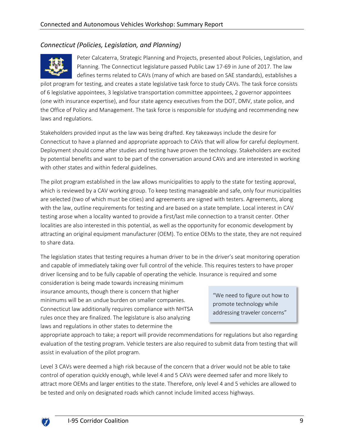## <span id="page-10-0"></span>*Connecticut (Policies, Legislation, and Planning)*



Peter Calcaterra, Strategic Planning and Projects, presented about Policies, Legislation, and Planning. The Connecticut legislature passed Public Law 17-69 in June of 2017. The law defines terms related to CAVs (many of which are based on SAE standards), establishes a

pilot program for testing, and creates a state legislative task force to study CAVs. The task force consists of 6 legislative appointees, 3 legislative transportation committee appointees, 2 governor appointees (one with insurance expertise), and four state agency executives from the DOT, DMV, state police, and the Office of Policy and Management. The task force is responsible for studying and recommending new laws and regulations.

Stakeholders provided input as the law was being drafted. Key takeaways include the desire for Connecticut to have a planned and appropriate approach to CAVs that will allow for careful deployment. Deployment should come after studies and testing have proven the technology. Stakeholders are excited by potential benefits and want to be part of the conversation around CAVs and are interested in working with other states and within federal guidelines.

The pilot program established in the law allows municipalities to apply to the state for testing approval, which is reviewed by a CAV working group. To keep testing manageable and safe, only four municipalities are selected (two of which must be cities) and agreements are signed with testers. Agreements, along with the law, outline requirements for testing and are based on a state template. Local interest in CAV testing arose when a locality wanted to provide a first/last mile connection to a transit center. Other localities are also interested in this potential, as well as the opportunity for economic development by attracting an original equipment manufacturer (OEM). To entice OEMs to the state, they are not required to share data.

The legislation states that testing requires a human driver to be in the driver's seat monitoring operation and capable of immediately taking over full control of the vehicle. This requires testers to have proper driver licensing and to be fully capable of operating the vehicle. Insurance is required and some

consideration is being made towards increasing minimum insurance amounts, though there is concern that higher minimums will be an undue burden on smaller companies. Connecticut law additionally requires compliance with NHTSA rules once they are finalized. The legislature is also analyzing laws and regulations in other states to determine the

"We need to figure out how to promote technology while addressing traveler concerns"

appropriate approach to take; a report will provide recommendations for regulations but also regarding evaluation of the testing program. Vehicle testers are also required to submit data from testing that will assist in evaluation of the pilot program.

Level 3 CAVs were deemed a high risk because of the concern that a driver would not be able to take control of operation quickly enough, while level 4 and 5 CAVs were deemed safer and more likely to attract more OEMs and larger entities to the state. Therefore, only level 4 and 5 vehicles are allowed to be tested and only on designated roads which cannot include limited access highways.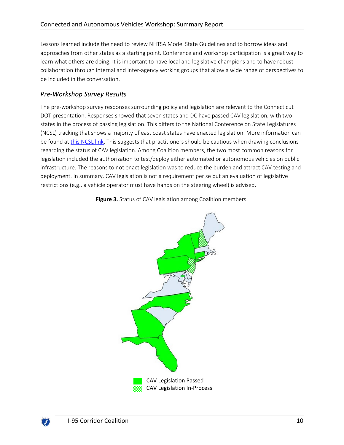Lessons learned include the need to review NHTSA Model State Guidelines and to borrow ideas and approaches from other states as a starting point. Conference and workshop participation is a great way to learn what others are doing. It is important to have local and legislative champions and to have robust collaboration through internal and inter-agency working groups that allow a wide range of perspectives to be included in the conversation.

## <span id="page-11-0"></span>*Pre-Workshop Survey Results*

The pre-workshop survey responses surrounding policy and legislation are relevant to the Connecticut DOT presentation. Responses showed that seven states and DC have passed CAV legislation, with two states in the process of passing legislation. This differs to the National Conference on State Legislatures (NCSL) tracking that shows a majority of east coast states have enacted legislation. More information can be found at this [NCSL link.](http://www.ncsl.org/research/transportation/autonomous-vehicles-self-driving-vehicles-enacted-legislation.aspx) This suggests that practitioners should be cautious when drawing conclusions regarding the status of CAV legislation. Among Coalition members, the two most common reasons for legislation included the authorization to test/deploy either automated or autonomous vehicles on public infrastructure. The reasons to not enact legislation was to reduce the burden and attract CAV testing and deployment. In summary, CAV legislation is not a requirement per se but an evaluation of legislative restrictions (e.g., a vehicle operator must have hands on the steering wheel) is advised.

**Figure 3.** Status of CAV legislation among Coalition members.



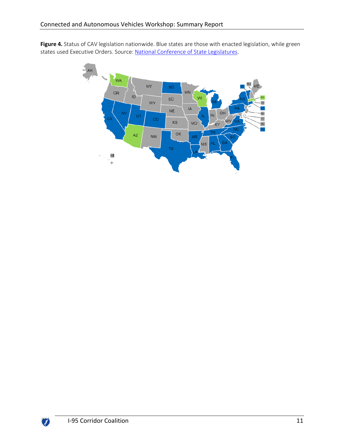Figure 4. Status of CAV legislation nationwide. Blue states are those with enacted legislation, while green states used Executive Orders. Source: [National Conference of State Legislatures.](http://www.ncsl.org/research/transportation/autonomous-vehicles-self-driving-vehicles-enacted-legislation.aspx)



¥.

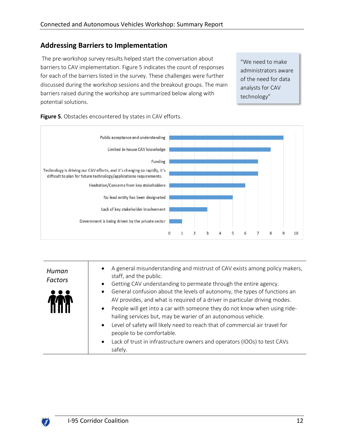## <span id="page-13-0"></span>**Addressing Barriers to Implementation**

The pre-workshop survey results helped start the conversation about barriers to CAV implementation. Figure 5 indicates the count of responses for each of the barriers listed in the survey. These challenges were further discussed during the workshop sessions and the breakout groups. The main barriers raised during the workshop are summarized below along with potential solutions.

"We need to make administrators aware of the need for data analysts for CAV technology"



|  |  | Figure 5. Obstacles encountered by states in CAV efforts. |
|--|--|-----------------------------------------------------------|
|  |  |                                                           |

<span id="page-13-1"></span>

| Human<br><b>Factors</b> | A general misunderstanding and mistrust of CAV exists among policy makers,<br>$\bullet$<br>staff, and the public.<br>Getting CAV understanding to permeate through the entire agency.<br>$\bullet$<br>• General confusion about the levels of autonomy, the types of functions an<br>AV provides, and what is required of a driver in particular driving modes.<br>• People will get into a car with someone they do not know when using ride-<br>hailing services but, may be warier of an autonomous vehicle.<br>Level of safety will likely need to reach that of commercial air travel for<br>$\bullet$<br>people to be comfortable.<br>• Lack of trust in infrastructure owners and operators (IOOs) to test CAVs<br>safely. |
|-------------------------|-----------------------------------------------------------------------------------------------------------------------------------------------------------------------------------------------------------------------------------------------------------------------------------------------------------------------------------------------------------------------------------------------------------------------------------------------------------------------------------------------------------------------------------------------------------------------------------------------------------------------------------------------------------------------------------------------------------------------------------|
|-------------------------|-----------------------------------------------------------------------------------------------------------------------------------------------------------------------------------------------------------------------------------------------------------------------------------------------------------------------------------------------------------------------------------------------------------------------------------------------------------------------------------------------------------------------------------------------------------------------------------------------------------------------------------------------------------------------------------------------------------------------------------|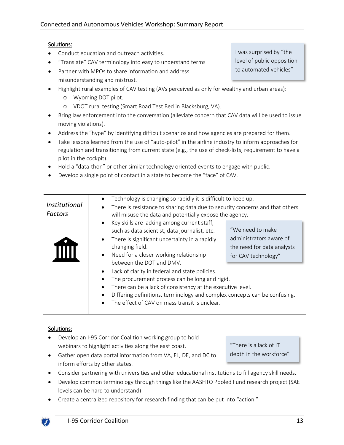inform efforts by other states.

## Solutions:

- Conduct education and outreach activities.
- "Translate" CAV terminology into easy to understand terms
- Partner with MPOs to share information and address misunderstanding and mistrust.
- Highlight rural examples of CAV testing (AVs perceived as only for wealthy and urban areas):
	- o Wyoming DOT pilot.
	- o VDOT rural testing (Smart Road Test Bed in Blacksburg, VA).
- Bring law enforcement into the conversation (alleviate concern that CAV data will be used to issue moving violations).
- Address the "hype" by identifying difficult scenarios and how agencies are prepared for them.
- Take lessons learned from the use of "auto-pilot" in the airline industry to inform approaches for regulation and transitioning from current state (e.g., the use of check-lists, requirement to have a pilot in the cockpit).
- Hold a "data-thon" or other similar technology oriented events to engage with public.
- Develop a single point of contact in a state to become the "face" of CAV.

<span id="page-14-0"></span>

| <i>Institutional</i><br><b>Factors</b> | Technology is changing so rapidly it is difficult to keep up.<br>There is resistance to sharing data due to security concerns and that others<br>will misuse the data and potentially expose the agency.                                                                                                                                                                                                                                                                                                                                              |                                                                                                  |
|----------------------------------------|-------------------------------------------------------------------------------------------------------------------------------------------------------------------------------------------------------------------------------------------------------------------------------------------------------------------------------------------------------------------------------------------------------------------------------------------------------------------------------------------------------------------------------------------------------|--------------------------------------------------------------------------------------------------|
|                                        | • Key skills are lacking among current staff,<br>such as data scientist, data journalist, etc.<br>There is significant uncertainty in a rapidly<br>$\bullet$<br>changing field.<br>Need for a closer working relationship<br>between the DOT and DMV.<br>Lack of clarity in federal and state policies.<br>The procurement process can be long and rigid.<br>There can be a lack of consistency at the executive level.<br>Differing definitions, terminology and complex concepts can be confusing.<br>The effect of CAV on mass transit is unclear. | "We need to make<br>administrators aware of<br>the need for data analysts<br>for CAV technology" |

## Solutions:

• Develop an I-95 Corridor Coalition working group to hold webinars to highlight activities along the east coast.

• Gather open data portal information from VA, FL, DE, and DC to

"There is a lack of IT depth in the workforce"

- Consider partnering with universities and other educational institutions to fill agency skill needs.
- Develop common terminology through things like the AASHTO Pooled Fund research project (SAE levels can be hard to understand)
- Create a centralized repository for research finding that can be put into "action."

I was surprised by "the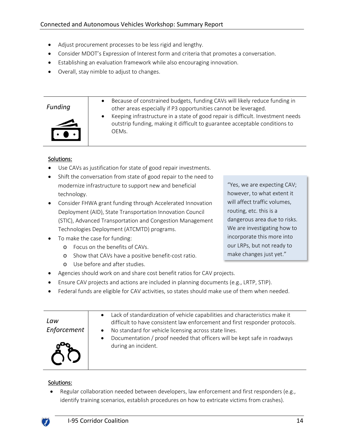- Adjust procurement processes to be less rigid and lengthy.
- Consider MDOT's Expression of Interest form and criteria that promotes a conversation.
- Establishing an evaluation framework while also encouraging innovation.
- Overall, stay nimble to adjust to changes.
- <span id="page-15-0"></span>**Funding** • Because of constrained budgets, funding CAVs will likely reduce funding in<br> **Funding** other areas especially if P3 opportunities cannot be leveraged other areas especially if P3 opportunities cannot be leveraged.



• Keeping infrastructure in a state of good repair is difficult. Investment needs outstrip funding, making it difficult to guarantee acceptable conditions to

#### Solutions:

Use CAVs as justification for state of good repair investments.

OEMs.

- Shift the conversation from state of good repair to the need to modernize infrastructure to support new and beneficial technology.
- Consider FHWA grant funding through Accelerated Innovation Deployment (AID), State Transportation Innovation Council (STIC), Advanced Transportation and Congestion Management Technologies Deployment (ATCMTD) programs.
- To make the case for funding:
	- o Focus on the benefits of CAVs.
	- o Show that CAVs have a positive benefit-cost ratio.
	- o Use before and after studies.
- Agencies should work on and share cost benefit ratios for CAV projects.
- Ensure CAV projects and actions are included in planning documents (e.g., LRTP, STIP).
- Federal funds are eligible for CAV activities, so states should make use of them when needed.

<span id="page-15-1"></span>

| Law<br>Enforcement<br>ŐŐ | Lack of standardization of vehicle capabilities and characteristics make it<br>$\bullet$<br>difficult to have consistent law enforcement and first responder protocols.<br>No standard for vehicle licensing across state lines.<br>$\bullet$<br>Documentation / proof needed that officers will be kept safe in roadways<br>$\bullet$<br>during an incident. |
|--------------------------|---------------------------------------------------------------------------------------------------------------------------------------------------------------------------------------------------------------------------------------------------------------------------------------------------------------------------------------------------------------|
|                          |                                                                                                                                                                                                                                                                                                                                                               |

#### Solutions:

Regular collaboration needed between developers, law enforcement and first responders (e.g., identify training scenarios, establish procedures on how to extricate victims from crashes).

- "Yes, we are expecting CAV; however, to what extent it will affect traffic volumes, routing, etc. this is a dangerous area due to risks. We are investigating how to incorporate this more into
- our LRPs, but not ready to make changes just yet."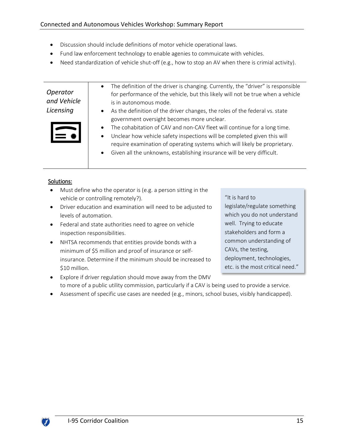- Discussion should include definitions of motor vehicle operational laws.
- Fund law enforcement technology to enable agenies to commuicate with vehicles.
- Need standardization of vehicle shut-off (e.g., how to stop an AV when there is crimial activity).

<span id="page-16-0"></span>

| Operator    | The definition of the driver is changing. Currently, the "driver" is responsible<br>$\bullet$<br>for performance of the vehicle, but this likely will not be true when a vehicle |
|-------------|----------------------------------------------------------------------------------------------------------------------------------------------------------------------------------|
| and Vehicle | is in autonomous mode.                                                                                                                                                           |
| Licensing   | As the definition of the driver changes, the roles of the federal vs. state<br>$\bullet$                                                                                         |
|             | government oversight becomes more unclear.                                                                                                                                       |
|             | The cohabitation of CAV and non-CAV fleet will continue for a long time.                                                                                                         |
|             | Unclear how vehicle safety inspections will be completed given this will<br>$\bullet$                                                                                            |

- require examination of operating systems which will likely be proprietary.
- Given all the unknowns, establishing insurance will be very difficult.

#### Solutions:

- Must define who the operator is (e.g. a person sitting in the vehicle or controlling remotely?).
- Driver education and examination will need to be adjusted to levels of automation.
- Federal and state authorities need to agree on vehicle inspection responsibilities.
- NHTSA recommends that entities provide bonds with a minimum of \$5 million and proof of insurance or selfinsurance. Determine if the minimum should be increased to \$10 million.

#### "It is hard to

legislate/regulate something which you do not understand well. Trying to educate stakeholders and form a common understanding of CAVs, the testing, deployment, technologies, etc. is the most critical need."

- Explore if driver regulation should move away from the DMV to more of a public utility commission, particularly if a CAV is being used to provide a service.
- Assessment of specific use cases are needed (e.g., minors, school buses, visibly handicapped).

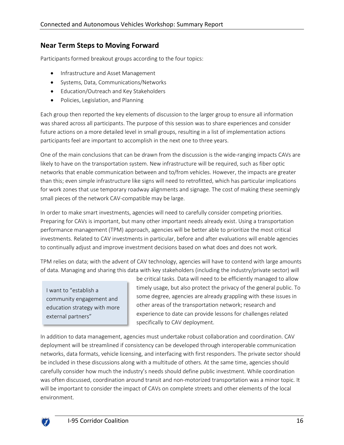## <span id="page-17-0"></span>**Near Term Steps to Moving Forward**

Participants formed breakout groups according to the four topics:

- Infrastructure and Asset Management
- Systems, Data, Communications/Networks
- Education/Outreach and Key Stakeholders
- Policies, Legislation, and Planning

Each group then reported the key elements of discussion to the larger group to ensure all information was shared across all participants. The purpose of this session was to share experiences and consider future actions on a more detailed level in small groups, resulting in a list of implementation actions participants feel are important to accomplish in the next one to three years.

One of the main conclusions that can be drawn from the discussion is the wide-ranging impacts CAVs are likely to have on the transportation system. New infrastructure will be required, such as fiber optic networks that enable communication between and to/from vehicles. However, the impacts are greater than this; even simple infrastructure like signs will need to retrofitted, which has particular implications for work zones that use temporary roadway alignments and signage. The cost of making these seemingly small pieces of the network CAV-compatible may be large.

In order to make smart investments, agencies will need to carefully consider competing priorities. Preparing for CAVs is important, but many other important needs already exist. Using a transportation performance management (TPM) approach, agencies will be better able to prioritize the most critical investments. Related to CAV investments in particular, before and after evaluations will enable agencies to continually adjust and improve investment decisions based on what does and does not work.

TPM relies on data; with the advent of CAV technology, agencies will have to contend with large amounts of data. Managing and sharing this data with key stakeholders (including the industry/private sector) will

I want to "establish a community engagement and education strategy with more external partners"

be critical tasks. Data will need to be efficiently managed to allow timely usage, but also protect the privacy of the general public. To some degree, agencies are already grappling with these issues in other areas of the transportation network; research and experience to date can provide lessons for challenges related specifically to CAV deployment.

In addition to data management, agencies must undertake robust collaboration and coordination. CAV deployment will be streamlined if consistency can be developed through interoperable communication networks, data formats, vehicle licensing, and interfacing with first responders. The private sector should be included in these discussions along with a multitude of others. At the same time, agencies should carefully consider how much the industry's needs should define public investment. While coordination was often discussed, coordination around transit and non-motorized transportation was a minor topic. It will be important to consider the impact of CAVs on complete streets and other elements of the local environment.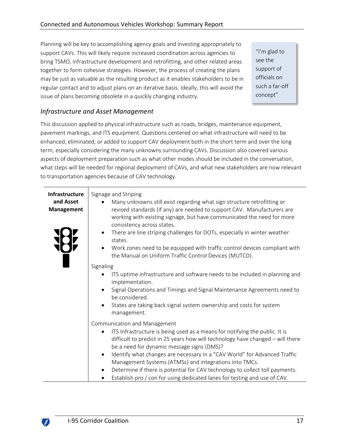Planning will be key to accomplishing agency goals and investing appropriately to support CAVs. This will likely require increased coordination across agencies to bring TSMO, infrastructure development and retrofitting, and other related areas together to form cohesive strategies. However, the process of creating the plans may be just as valuable as the resulting product as it enables stakeholders to be in regular contact and to adjust plans on an iterative basis. Ideally, this will avoid the issue of plans becoming obsolete in a quickly changing industry.

"I'm glad to see the support of officials on such a far-off concept"

## <span id="page-18-0"></span>*Infrastructure and Asset Management*

This discussion applied to physical infrastructure such as roads, bridges, maintenance equipment, pavement markings, and ITS equipment. Questions centered on what infrastructure will need to be enhanced, eliminated, or added to support CAV deployment both in the short term and over the long term, especially considering the many unknowns surrounding CAVs. Discussion also covered various aspects of deployment preparation such as what other modes should be included in the conversation, what steps will be needed for regional deployment of CAVs, and what new stakeholders are now relevant to transportation agencies because of CAV technology.

| <b>Infrastructure</b><br>and Asset<br><b>Management</b> | Signage and Striping<br>Many unknowns still exist regarding what sign structure retrofitting or<br>revised standards (if any) are needed to support CAV. Manufacturers are<br>working with existing signage, but have communicated the need for more<br>consistency across states.<br>There are line striping challenges for DOTs, especially in winter weather<br>states.<br>Work zones need to be equipped with traffic control devices compliant with<br>the Manual on Uniform Traffic Control Devices (MUTCD).                                                     |
|---------------------------------------------------------|------------------------------------------------------------------------------------------------------------------------------------------------------------------------------------------------------------------------------------------------------------------------------------------------------------------------------------------------------------------------------------------------------------------------------------------------------------------------------------------------------------------------------------------------------------------------|
|                                                         | Signaling<br>ITS uptime infrastructure and software needs to be included in planning and<br>implementation.<br>Signal Operations and Timings and Signal Maintenance Agreements need to<br>be considered.<br>States are taking back signal system ownership and costs for system<br>management.                                                                                                                                                                                                                                                                         |
|                                                         | Communication and Management<br>ITS Infrastructure is being used as a means for notifying the public. It is<br>٠<br>difficult to predict in 25 years how will technology have changed - will there<br>be a need for dynamic message signs (DMS)?<br>Identify what changes are necessary in a "CAV World" for Advanced Traffic<br>٠<br>Management Systems (ATMSs) and integrations into TMCs.<br>Determine if there is potential for CAV technology to collect toll payments.<br>$\bullet$<br>Establish pro / con for using dedicated lanes for testing and use of CAV. |

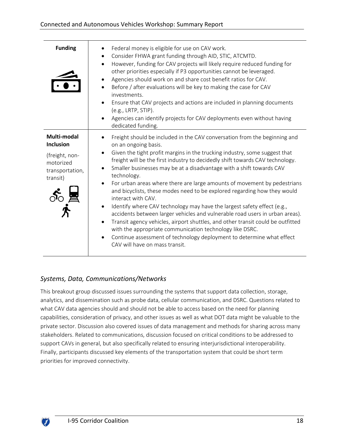| <b>Funding</b>                                                                                | Federal money is eligible for use on CAV work.<br>Consider FHWA grant funding through AID, STIC, ATCMTD.<br>However, funding for CAV projects will likely require reduced funding for<br>$\bullet$<br>other priorities especially if P3 opportunities cannot be leveraged.<br>Agencies should work on and share cost benefit ratios for CAV.<br>Before / after evaluations will be key to making the case for CAV<br>investments.<br>Ensure that CAV projects and actions are included in planning documents<br>(e.g., LRTP, STIP).<br>Agencies can identify projects for CAV deployments even without having<br>dedicated funding.                                                                                                                                                                                                                                                                                                                                     |
|-----------------------------------------------------------------------------------------------|-------------------------------------------------------------------------------------------------------------------------------------------------------------------------------------------------------------------------------------------------------------------------------------------------------------------------------------------------------------------------------------------------------------------------------------------------------------------------------------------------------------------------------------------------------------------------------------------------------------------------------------------------------------------------------------------------------------------------------------------------------------------------------------------------------------------------------------------------------------------------------------------------------------------------------------------------------------------------|
| Multi-modal<br><b>Inclusion</b><br>(freight, non-<br>motorized<br>transportation,<br>transit) | Freight should be included in the CAV conversation from the beginning and<br>on an ongoing basis.<br>Given the tight profit margins in the trucking industry, some suggest that<br>freight will be the first industry to decidedly shift towards CAV technology.<br>Smaller businesses may be at a disadvantage with a shift towards CAV<br>technology.<br>For urban areas where there are large amounts of movement by pedestrians<br>and bicyclists, these modes need to be explored regarding how they would<br>interact with CAV.<br>Identify where CAV technology may have the largest safety effect (e.g.,<br>accidents between larger vehicles and vulnerable road users in urban areas).<br>Transit agency vehicles, airport shuttles, and other transit could be outfitted<br>$\bullet$<br>with the appropriate communication technology like DSRC.<br>Continue assessment of technology deployment to determine what effect<br>CAV will have on mass transit. |

## <span id="page-19-0"></span>*Systems, Data, Communications/Networks*

This breakout group discussed issues surrounding the systems that support data collection, storage, analytics, and dissemination such as probe data, cellular communication, and DSRC. Questions related to what CAV data agencies should and should not be able to access based on the need for planning capabilities, consideration of privacy, and other issues as well as what DOT data might be valuable to the private sector. Discussion also covered issues of data management and methods for sharing across many stakeholders. Related to communications, discussion focused on critical conditions to be addressed to support CAVs in general, but also specifically related to ensuring interjurisdictional interoperability. Finally, participants discussed key elements of the transportation system that could be short term priorities for improved connectivity.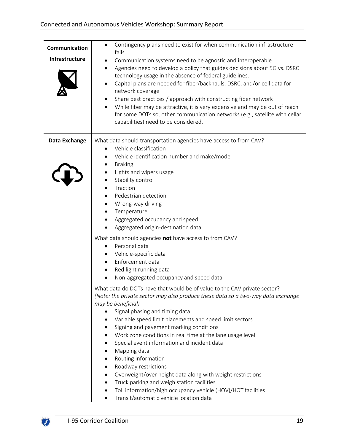| Communication<br>Infrastructure | Contingency plans need to exist for when communication infrastructure<br>$\bullet$<br>fails<br>Communication systems need to be agnostic and interoperable.<br>٠<br>Agencies need to develop a policy that guides decisions about 5G vs. DSRC<br>$\bullet$<br>technology usage in the absence of federal guidelines.<br>Capital plans are needed for fiber/backhauls, DSRC, and/or cell data for<br>٠<br>network coverage<br>Share best practices / approach with constructing fiber network<br>٠<br>While fiber may be attractive, it is very expensive and may be out of reach<br>$\bullet$<br>for some DOTs so, other communication networks (e.g., satellite with cellar<br>capabilities) need to be considered.                                                                                                                                                                                                                                                                                       |
|---------------------------------|------------------------------------------------------------------------------------------------------------------------------------------------------------------------------------------------------------------------------------------------------------------------------------------------------------------------------------------------------------------------------------------------------------------------------------------------------------------------------------------------------------------------------------------------------------------------------------------------------------------------------------------------------------------------------------------------------------------------------------------------------------------------------------------------------------------------------------------------------------------------------------------------------------------------------------------------------------------------------------------------------------|
| Data Exchange                   | What data should transportation agencies have access to from CAV?<br>Vehicle classification<br>Vehicle identification number and make/model<br><b>Braking</b><br>Lights and wipers usage<br>Stability control<br>Traction<br>Pedestrian detection<br>Wrong-way driving<br>٠<br>Temperature<br>٠<br>Aggregated occupancy and speed<br>٠<br>Aggregated origin-destination data<br>٠                                                                                                                                                                                                                                                                                                                                                                                                                                                                                                                                                                                                                          |
|                                 | What data should agencies not have access to from CAV?<br>Personal data<br>$\bullet$<br>Vehicle-specific data<br>Enforcement data<br>$\bullet$<br>Red light running data<br>Non-aggregated occupancy and speed data<br>What data do DOTs have that would be of value to the CAV private sector?<br>(Note: the private sector may also produce these data so a two-way data exchange<br>may be beneficial)<br>Signal phasing and timing data<br>٠<br>Variable speed limit placements and speed limit sectors<br>٠<br>Signing and pavement marking conditions<br>٠<br>Work zone conditions in real time at the lane usage level<br>٠<br>Special event information and incident data<br>٠<br>Mapping data<br>٠<br>Routing information<br>٠<br>Roadway restrictions<br>٠<br>Overweight/over height data along with weight restrictions<br>٠<br>Truck parking and weigh station facilities<br>٠<br>Toll information/high occupancy vehicle (HOV)/HOT facilities<br>٠<br>Transit/automatic vehicle location data |

 $\bullet$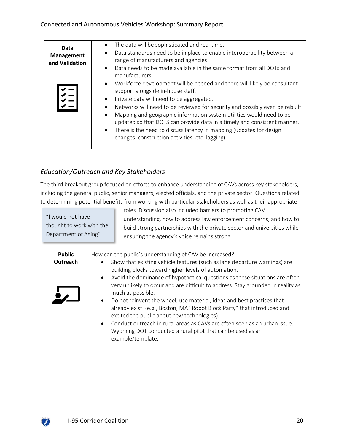| Data<br>Management<br>and Validation | The data will be sophisticated and real time.<br>Data standards need to be in place to enable interoperability between a<br>$\bullet$<br>range of manufacturers and agencies<br>Data needs to be made available in the same format from all DOTs and<br>manufacturers.<br>Workforce development will be needed and there will likely be consultant<br>$\bullet$<br>support alongside in-house staff.<br>Private data will need to be aggregated.<br>$\bullet$<br>Networks will need to be reviewed for security and possibly even be rebuilt.<br>٠<br>Mapping and geographic information system utilities would need to be<br>$\bullet$<br>updated so that DOTS can provide data in a timely and consistent manner. |
|--------------------------------------|---------------------------------------------------------------------------------------------------------------------------------------------------------------------------------------------------------------------------------------------------------------------------------------------------------------------------------------------------------------------------------------------------------------------------------------------------------------------------------------------------------------------------------------------------------------------------------------------------------------------------------------------------------------------------------------------------------------------|
|                                      | There is the need to discuss latency in mapping (updates for design<br>$\bullet$<br>changes, construction activities, etc. lagging).                                                                                                                                                                                                                                                                                                                                                                                                                                                                                                                                                                                |

## <span id="page-21-0"></span>*Education/Outreach and Key Stakeholders*

The third breakout group focused on efforts to enhance understanding of CAVs across key stakeholders, including the general public, senior managers, elected officials, and the private sector. Questions related to determining potential benefits from working with particular stakeholders as well as their appropriate

|                          | roles. Discussion also included barriers to promoting CAV                |
|--------------------------|--------------------------------------------------------------------------|
| "I would not have        | understanding, how to address law enforcement concerns, and how to       |
| thought to work with the | build strong partnerships with the private sector and universities while |
| Department of Aging"     | ensuring the agency's voice remains strong.                              |
|                          |                                                                          |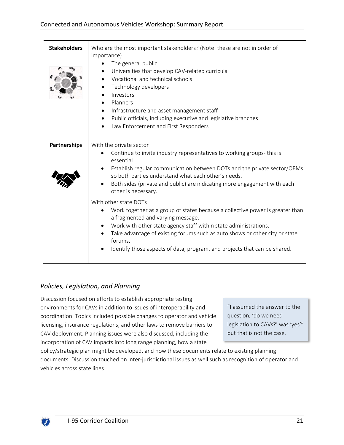| <b>Stakeholders</b> | Who are the most important stakeholders? (Note: these are not in order of<br>importance).<br>The general public<br>Universities that develop CAV-related curricula<br>Vocational and technical schools<br>Technology developers<br>Investors<br>Planners<br>Infrastructure and asset management staff<br>Public officials, including executive and legislative branches<br>٠<br>Law Enforcement and First Responders<br>$\bullet$ |
|---------------------|-----------------------------------------------------------------------------------------------------------------------------------------------------------------------------------------------------------------------------------------------------------------------------------------------------------------------------------------------------------------------------------------------------------------------------------|
| Partnerships        | With the private sector<br>Continue to invite industry representatives to working groups-this is<br>essential.<br>Establish regular communication between DOTs and the private sector/OEMs<br>so both parties understand what each other's needs.<br>Both sides (private and public) are indicating more engagement with each<br>other is necessary.                                                                              |
|                     | With other state DOTs<br>Work together as a group of states because a collective power is greater than<br>a fragmented and varying message.<br>Work with other state agency staff within state administrations.<br>$\bullet$<br>Take advantage of existing forums such as auto shows or other city or state<br>forums.<br>Identify those aspects of data, program, and projects that can be shared.                               |

## <span id="page-22-0"></span>*Policies, Legislation, and Planning*

Discussion focused on efforts to establish appropriate testing environments for CAVs in addition to issues of interoperability and coordination. Topics included possible changes to operator and vehicle licensing, insurance regulations, and other laws to remove barriers to CAV deployment. Planning issues were also discussed, including the incorporation of CAV impacts into long range planning, how a state

"I assumed the answer to the question, 'do we need legislation to CAVs?' was 'yes'" but that is not the case.

policy/strategic plan might be developed, and how these documents relate to existing planning documents. Discussion touched on inter-jurisdictional issues as well such as recognition of operator and vehicles across state lines.

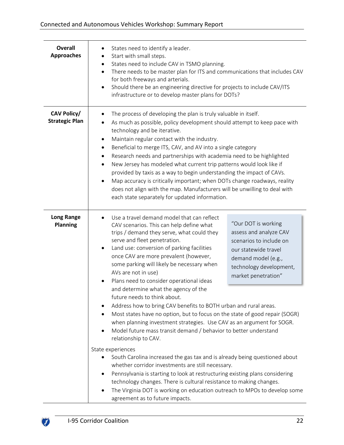| <b>Overall</b><br><b>Approaches</b>  | States need to identify a leader.<br>Start with small steps.<br>States need to include CAV in TSMO planning.<br>$\bullet$<br>There needs to be master plan for ITS and communications that includes CAV<br>$\bullet$<br>for both freeways and arterials.<br>Should there be an engineering directive for projects to include CAV/ITS<br>$\bullet$<br>infrastructure or to develop master plans for DOTs?                                                                                                                                                                                                                                                                                                                                                                                                                                                                                                                                                                                                                                                                                                                                                                                                                                                                                                                                                                                 |  |  |
|--------------------------------------|------------------------------------------------------------------------------------------------------------------------------------------------------------------------------------------------------------------------------------------------------------------------------------------------------------------------------------------------------------------------------------------------------------------------------------------------------------------------------------------------------------------------------------------------------------------------------------------------------------------------------------------------------------------------------------------------------------------------------------------------------------------------------------------------------------------------------------------------------------------------------------------------------------------------------------------------------------------------------------------------------------------------------------------------------------------------------------------------------------------------------------------------------------------------------------------------------------------------------------------------------------------------------------------------------------------------------------------------------------------------------------------|--|--|
| CAV Policy/<br><b>Strategic Plan</b> | The process of developing the plan is truly valuable in itself.<br>As much as possible, policy development should attempt to keep pace with<br>technology and be iterative.<br>Maintain regular contact with the industry.<br>٠<br>Beneficial to merge ITS, CAV, and AV into a single category<br>$\bullet$<br>Research needs and partnerships with academia need to be highlighted<br>٠<br>New Jersey has modeled what current trip patterns would look like if<br>$\bullet$<br>provided by taxis as a way to begin understanding the impact of CAVs.<br>Map accuracy is critically important; when DOTs change roadways, reality<br>$\bullet$<br>does not align with the map. Manufacturers will be unwilling to deal with<br>each state separately for updated information.                                                                                                                                                                                                                                                                                                                                                                                                                                                                                                                                                                                                           |  |  |
| <b>Long Range</b><br><b>Planning</b> | Use a travel demand model that can reflect<br>"Our DOT is working<br>CAV scenarios. This can help define what<br>assess and analyze CAV<br>trips / demand they serve, what could they<br>serve and fleet penetration.<br>scenarios to include on<br>Land use: conversion of parking facilities<br>our statewide travel<br>once CAV are more prevalent (however,<br>demand model (e.g.,<br>some parking will likely be necessary when<br>technology development,<br>AVs are not in use)<br>market penetration"<br>Plans need to consider operational ideas<br>and determine what the agency of the<br>future needs to think about.<br>Address how to bring CAV benefits to BOTH urban and rural areas.<br>Most states have no option, but to focus on the state of good repair (SOGR)<br>when planning investment strategies. Use CAV as an argument for SOGR.<br>Model future mass transit demand / behavior to better understand<br>relationship to CAV.<br>State experiences<br>South Carolina increased the gas tax and is already being questioned about<br>whether corridor investments are still necessary.<br>Pennsylvania is starting to look at restructuring existing plans considering<br>technology changes. There is cultural resistance to making changes.<br>The Virginia DOT is working on education outreach to MPOs to develop some<br>agreement as to future impacts. |  |  |

 $\bullet$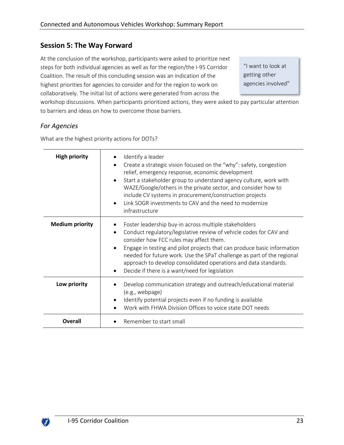## <span id="page-24-0"></span>**Session 5: The Way Forward**

At the conclusion of the workshop, participants were asked to prioritize next steps for both individual agencies as well as for the region/the I-95 Corridor Coalition. The result of this concluding session was an indication of the highest priorities for agencies to consider and for the region to work on collaboratively. The initial list of actions were generated from across the

"I want to look at getting other agencies involved"

workshop discussions. When participants prioritized actions, they were asked to pay particular attention to barriers and ideas on how to overcome those barriers.

#### <span id="page-24-1"></span>*For Agencies*

What are the highest priority actions for DOTs?

| <b>High priority</b>   | Identify a leader<br>Create a strategic vision focused on the "why": safety, congestion<br>relief, emergency response, economic development<br>Start a stakeholder group to understand agency culture, work with<br>$\bullet$<br>WAZE/Google/others in the private sector, and consider how to<br>include CV systems in procurement/construction projects<br>Link SOGR investments to CAV and the need to modernize<br>infrastructure                         |
|------------------------|---------------------------------------------------------------------------------------------------------------------------------------------------------------------------------------------------------------------------------------------------------------------------------------------------------------------------------------------------------------------------------------------------------------------------------------------------------------|
| <b>Medium priority</b> | Foster leadership buy-in across multiple stakeholders<br>Conduct regulatory/legislative review of vehicle codes for CAV and<br>$\bullet$<br>consider how FCC rules may affect them.<br>Engage in testing and pilot projects that can produce basic information<br>needed for future work. Use the SPaT challenge as part of the regional<br>approach to develop consolidated operations and data standards.<br>Decide if there is a want/need for legislation |
| Low priority           | Develop communication strategy and outreach/educational material<br>(e.g., webpage)<br>Identify potential projects even if no funding is available<br>Work with FHWA Division Offices to voice state DOT needs                                                                                                                                                                                                                                                |
| Overall                | Remember to start small                                                                                                                                                                                                                                                                                                                                                                                                                                       |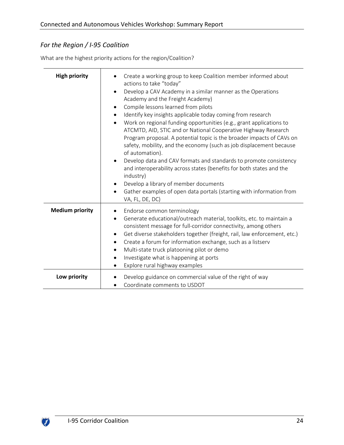## <span id="page-25-0"></span>*For the Region / I-95 Coalition*

|  |  |  |  | What are the highest priority actions for the region/Coalition? |
|--|--|--|--|-----------------------------------------------------------------|
|--|--|--|--|-----------------------------------------------------------------|

| <b>High priority</b>   | Create a working group to keep Coalition member informed about<br>actions to take "today"<br>Develop a CAV Academy in a similar manner as the Operations<br>$\bullet$<br>Academy and the Freight Academy)<br>Compile lessons learned from pilots<br>Identify key insights applicable today coming from research<br>٠<br>Work on regional funding opportunities (e.g., grant applications to<br>ATCMTD, AID, STIC and or National Cooperative Highway Research<br>Program proposal. A potential topic is the broader impacts of CAVs on<br>safety, mobility, and the economy (such as job displacement because<br>of automation).<br>Develop data and CAV formats and standards to promote consistency<br>and interoperability across states (benefits for both states and the<br>industry)<br>Develop a library of member documents<br>Gather examples of open data portals (starting with information from<br>$\bullet$<br>VA, FL, DE, DC) |
|------------------------|---------------------------------------------------------------------------------------------------------------------------------------------------------------------------------------------------------------------------------------------------------------------------------------------------------------------------------------------------------------------------------------------------------------------------------------------------------------------------------------------------------------------------------------------------------------------------------------------------------------------------------------------------------------------------------------------------------------------------------------------------------------------------------------------------------------------------------------------------------------------------------------------------------------------------------------------|
| <b>Medium priority</b> | Endorse common terminology<br>Generate educational/outreach material, toolkits, etc. to maintain a<br>٠<br>consistent message for full-corridor connectivity, among others<br>Get diverse stakeholders together (freight, rail, law enforcement, etc.)<br>Create a forum for information exchange, such as a listserv<br>Multi-state truck platooning pilot or demo<br>Investigate what is happening at ports<br>Explore rural highway examples                                                                                                                                                                                                                                                                                                                                                                                                                                                                                             |
| Low priority           | Develop guidance on commercial value of the right of way<br>Coordinate comments to USDOT<br>٠                                                                                                                                                                                                                                                                                                                                                                                                                                                                                                                                                                                                                                                                                                                                                                                                                                               |

 $\boldsymbol{G}$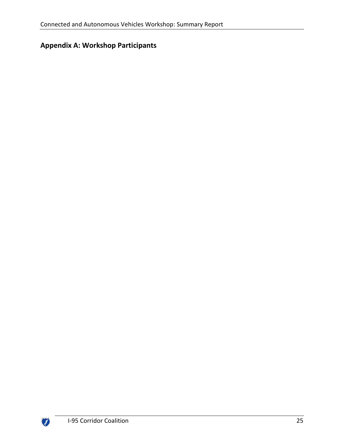## <span id="page-26-0"></span>**Appendix A: Workshop Participants**

 $\boldsymbol{G}$ 

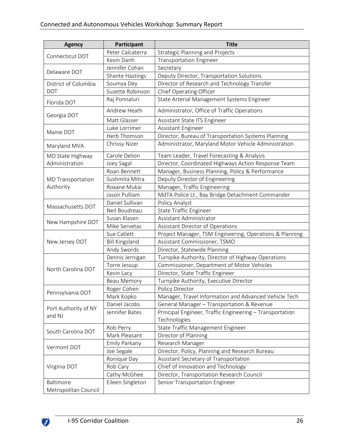| <b>Agency</b>            | <b>Participant</b>     | <b>Title</b>                                             |  |
|--------------------------|------------------------|----------------------------------------------------------|--|
|                          | Peter Calcaterra       | <b>Strategic Planning and Projects</b>                   |  |
| Connecticut DOT          | Kevin Danh             | <b>Transportation Engineer</b>                           |  |
|                          | Jennifer Cohan         | Secretary                                                |  |
| Delaware DOT             | <b>Shante Hastings</b> | Deputy Director, Transportation Solutions                |  |
| District of Columbia     | Soumya Dey             | Director of Research and Technology Transfer             |  |
| <b>DOT</b>               | Suzette Robinson       | Chief Operating Officer                                  |  |
| Florida DOT              | Raj Ponnaluri          | State Arterial Management Systems Engineer               |  |
| Georgia DOT              | Andrew Heath           | Administrator, Office of Traffic Operations              |  |
|                          | Matt Glasser           | Assistant State ITS Engineer                             |  |
| Maine DOT                | Luke Lorrimer          | Assistant Engineer                                       |  |
|                          | Herb Thomson           | Director, Bureau of Transportation Systems Planning      |  |
| Maryland MVA             | Chrissy Nizer          | Administrator, Maryland Motor Vehicle Administration     |  |
| MD State Highway         | Carole Delion          | Team Leader, Travel Forecasting & Analysis               |  |
| Administration           | Joey Sagal             | Director, Coordinated Highways Action Response Team      |  |
|                          | Roan Bennett           | Manager, Business Planning, Policy & Performance         |  |
| <b>MD Transportation</b> | Sushmita Mitra         | Deputy Director of Engineering                           |  |
| Authority                | Roxane Mukai           | Manager, Traffic Engineering                             |  |
|                          | Jason Pulliam          | MdTA Police Lt., Bay Bridge Detachment Commander         |  |
|                          | Daniel Sullivan        | Policy Analyst                                           |  |
| Massachusetts DOT        | Neil Boudreau          | <b>State Traffic Engineer</b>                            |  |
|                          | Susan Klasen           | Assistant Administrator                                  |  |
| New Hampshire DOT        | Mike Servetas          | Assistant Director of Operations                         |  |
|                          | Sue Catlett            | Project Manager, TSM Engineering, Operations & Planning  |  |
| New Jersey DOT           | <b>Bill Kingsland</b>  | Assistant Commissioner, TSMO                             |  |
|                          | Andy Swords            | Director, Statewide Planning                             |  |
|                          | Dennis Jernigan        | Turnpike Authority, Director of Highway Operations       |  |
|                          | Torre Jessup           | Commissioner, Department of Motor Vehicles               |  |
| North Carolina DOT       | Kevin Lacy             | Director, State Traffic Engineer                         |  |
|                          | <b>Beau Memory</b>     | Turnpike Authority, Executive Director                   |  |
|                          | Roger Cohen            | Policy Director                                          |  |
| Pennsylvania DOT         | Mark Kopko             | Manager, Travel Information and Advanced Vehicle Tech    |  |
|                          | Daniel Jacobs          | General Manager - Transportation & Revenue               |  |
| Port Authority of NY     | Jennifer Bates         | Principal Engineer, Traffic Engineering - Transportation |  |
| and NJ                   |                        | Technologies                                             |  |
| South Carolina DOT       | Rob Perry              | State Traffic Management Engineer                        |  |
|                          | Mark Pleasant          | Director of Planning                                     |  |
|                          | Emily Parkany          | Research Manager                                         |  |
| Vermont DOT              | Joe Segale             | Director, Policy, Planning and Research Bureau           |  |
|                          | Ronique Day            | Assistant Secretary of Transportation                    |  |
| Virginia DOT             | Rob Cary               | Chief of Innovation and Technology                       |  |
|                          | Cathy McGhee           | Director, Transportation Research Council                |  |
| Baltimore                | Eileen Singleton       | Senior Transportation Engineer                           |  |
| Metropolitan Council     |                        |                                                          |  |